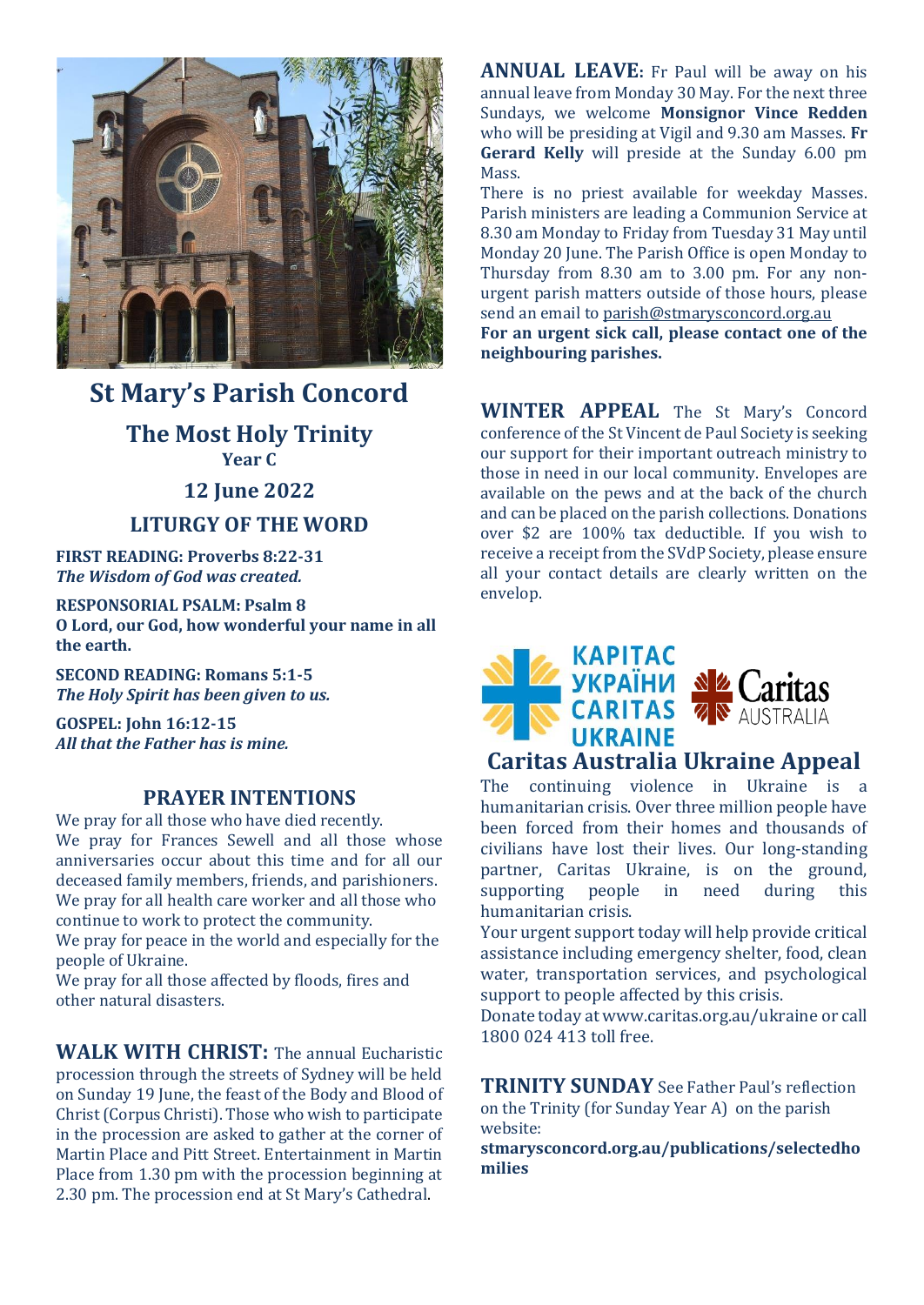

# **St Mary's Parish Concord**

**The Most Holy Trinity Year C**

### **12 June 2022**

### **LITURGY OF THE WORD**

**FIRST READING: Proverbs 8:22-31** *The Wisdom of God was created.*

**RESPONSORIAL PSALM: Psalm 8 O Lord, our God, how wonderful your name in all the earth.**

**SECOND READING: Romans 5:1-5** *The Holy Spirit has been given to us.*

**GOSPEL: John 16:12-15** *All that the Father has is mine.*

#### **PRAYER INTENTIONS**

We pray for all those who have died recently. We pray for Frances Sewell and all those whose anniversaries occur about this time and for all our deceased family members, friends, and parishioners. We pray for all health care worker and all those who continue to work to protect the community.

We pray for peace in the world and especially for the people of Ukraine.

We pray for all those affected by floods, fires and other natural disasters.

**WALK WITH CHRIST:** The annual Eucharistic procession through the streets of Sydney will be held on Sunday 19 June, the feast of the Body and Blood of Christ (Corpus Christi). Those who wish to participate in the procession are asked to gather at the corner of Martin Place and Pitt Street. Entertainment in Martin Place from 1.30 pm with the procession beginning at 2.30 pm. The procession end at St Mary's Cathedral.

**ANNUAL LEAVE:** Fr Paul will be away on his annual leave from Monday 30 May. For the next three Sundays, we welcome **Monsignor Vince Redden** who will be presiding at Vigil and 9.30 am Masses. **Fr Gerard Kelly** will preside at the Sunday 6.00 pm Mass.

There is no priest available for weekday Masses. Parish ministers are leading a Communion Service at 8.30 am Monday to Friday from Tuesday 31 May until Monday 20 June. The Parish Office is open Monday to Thursday from 8.30 am to 3.00 pm. For any nonurgent parish matters outside of those hours, please send an email to [parish@stmarysconcord.org.au](mailto:parish@stmarysconcord.org.au)

**For an urgent sick call, please contact one of the neighbouring parishes.**

**WINTER APPEAL** The St Mary's Concord conference of the St Vincent de Paul Society is seeking our support for their important outreach ministry to those in need in our local community. Envelopes are available on the pews and at the back of the church and can be placed on the parish collections. Donations over \$2 are 100% tax deductible. If you wish to receive a receipt from the SVdP Society, please ensure all your contact details are clearly written on the envelop.



The continuing violence in Ukraine is a humanitarian crisis. Over three million people have been forced from their homes and thousands of civilians have lost their lives. Our long-standing partner, Caritas Ukraine, is on the ground, supporting people in need during this humanitarian crisis.

Your urgent support today will help provide critical assistance including emergency shelter, food, clean water, transportation services, and psychological support to people affected by this crisis.

Donate today at www.caritas.org.au/ukraine or call 1800 024 413 toll free.

**TRINITY SUNDAY** See Father Paul's reflection on the Trinity (for Sunday Year A) on the parish website:

**stmarysconcord.org.au/publications/selectedho milies**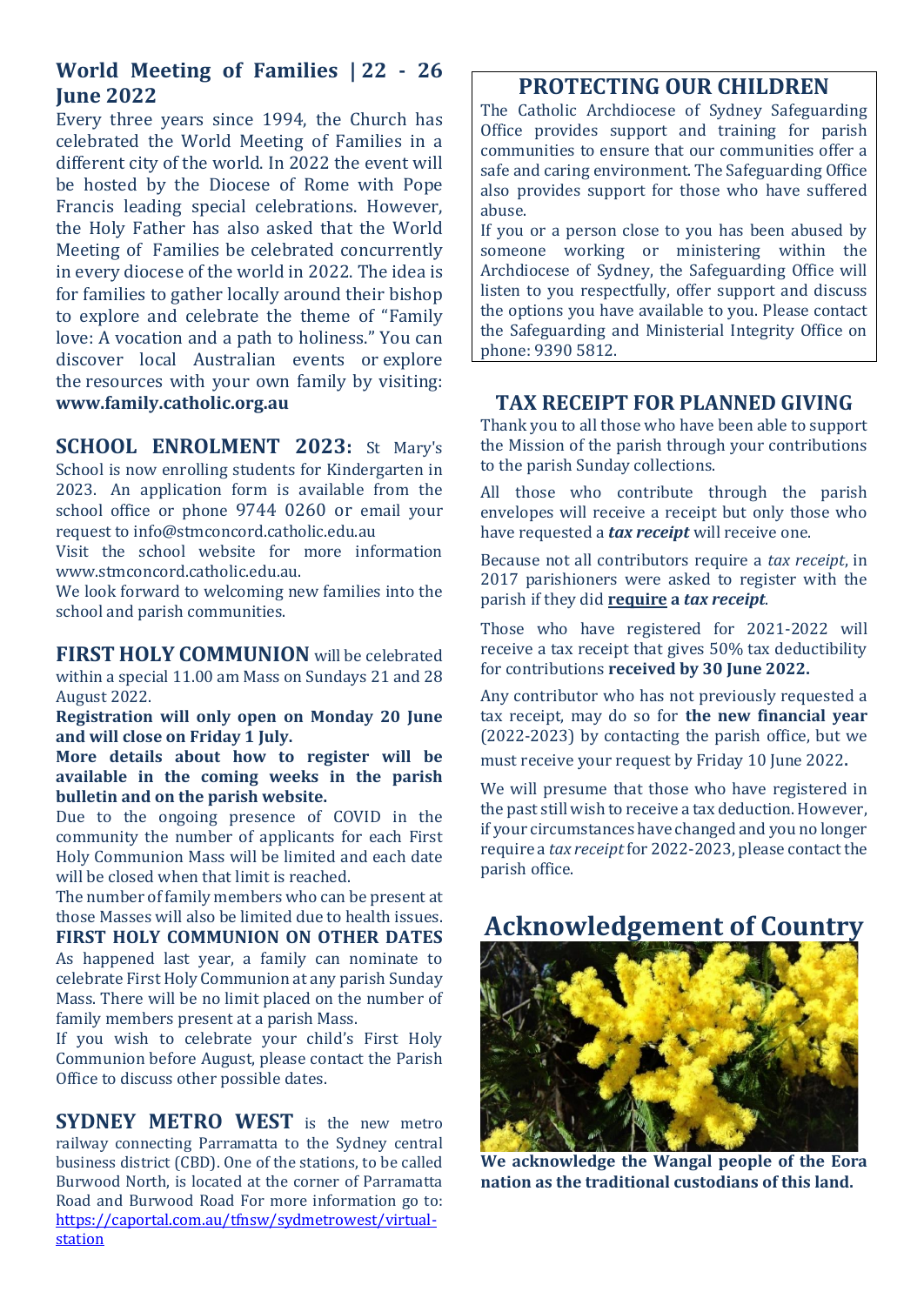## **World Meeting of Families | 22 - 26 June 2022**

Every three years since 1994, the Church has celebrated the World Meeting of Families in a different city of the world. In 2022 the event will be hosted by the Diocese of Rome with Pope Francis leading special celebrations. However, the Holy Father has also asked that the World Meeting of Families be celebrated concurrently in every diocese of the world in 2022. The idea is for families to gather locally around their bishop to explore and celebrate the theme of "Family love: A vocation and a path to holiness." You can discover local Australian events or explore the resources with your own family by visiting: **[www.family.catholic.org.au](https://pmrc.ontraport.com/c/s/2Q9/H5O7/6/rw2R/6AM/69Cany/6ZBgDeseg0/P/P/Qb)**

**SCHOOL ENROLMENT 2023:** St Mary's School is now enrolling students for Kindergarten in 2023. An application form is available from the school office or phone 9744 0260 or email your request to [info@stmconcord.catholic.edu.au](mailto:info@stmconcord.catholic.edu.au)

Visit the school website for more information [www.stmconcord.catholic.edu.au.](http://www.stmconcord.catholic.edu.au/)

We look forward to welcoming new families into the school and parish communities.

**FIRST HOLY COMMUNION** will be celebrated within a special 11.00 am Mass on Sundays 21 and 28 August 2022.

**Registration will only open on Monday 20 June and will close on Friday 1 July.**

**More details about how to register will be available in the coming weeks in the parish bulletin and on the parish website.**

Due to the ongoing presence of COVID in the community the number of applicants for each First Holy Communion Mass will be limited and each date will be closed when that limit is reached.

The number of family members who can be present at those Masses will also be limited due to health issues.

**FIRST HOLY COMMUNION ON OTHER DATES** As happened last year, a family can nominate to

celebrate First Holy Communion at any parish Sunday Mass. There will be no limit placed on the number of family members present at a parish Mass.

If you wish to celebrate your child's First Holy Communion before August, please contact the Parish Office to discuss other possible dates.

**SYDNEY METRO WEST** is the new metro railway connecting Parramatta to the Sydney central business district (CBD). One of the stations, to be called Burwood North, is located at the corner of Parramatta Road and Burwood Road For more information go to: [https://caportal.com.au/tfnsw/sydmetrowest/virtual](https://caportal.com.au/tfnsw/sydmetrowest/virtual-station)[station](https://caportal.com.au/tfnsw/sydmetrowest/virtual-station)

### **PROTECTING OUR CHILDREN**

The Catholic Archdiocese of Sydney Safeguarding Office provides support and training for parish communities to ensure that our communities offer a safe and caring environment. The Safeguarding Office also provides support for those who have suffered abuse.

If you or a person close to you has been abused by someone working or ministering within the Archdiocese of Sydney, the Safeguarding Office will listen to you respectfully, offer support and discuss the options you have available to you. Please contact the Safeguarding and Ministerial Integrity Office on phone: 9390 5812.

### **TAX RECEIPT FOR PLANNED GIVING**

Thank you to all those who have been able to support the Mission of the parish through your contributions to the parish Sunday collections.

All those who contribute through the parish envelopes will receive a receipt but only those who have requested a *tax receipt* will receive one.

Because not all contributors require a *tax receipt*, in 2017 parishioners were asked to register with the parish if they did **require a** *tax receipt*.

Those who have registered for 2021-2022 will receive a tax receipt that gives 50% tax deductibility for contributions **received by 30 June 2022.**

Any contributor who has not previously requested a tax receipt, may do so for **the new financial year** (2022-2023) by contacting the parish office, but we

must receive your request by Friday 10 June 2022.

We will presume that those who have registered in the past still wish to receive a tax deduction. However, if your circumstances have changed and you no longer require a *tax receipt*for 2022-2023, please contact the parish office.

## **Acknowledgement of Country**



**We acknowledge the Wangal people of the Eora nation as the traditional custodians of this land.**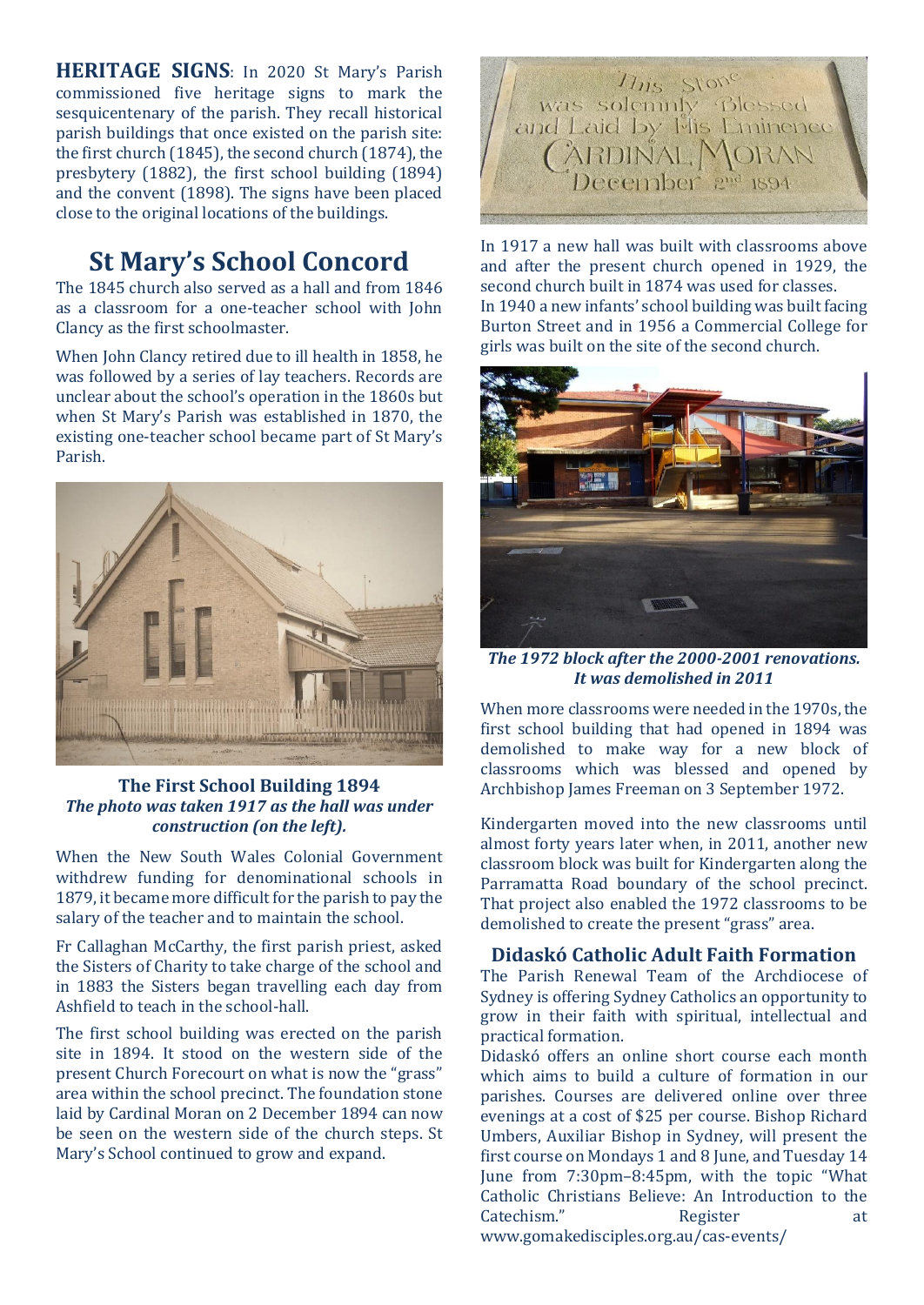**HERITAGE SIGNS**: In 2020 St Mary's Parish commissioned five heritage signs to mark the sesquicentenary of the parish. They recall historical parish buildings that once existed on the parish site: the first church (1845), the second church (1874), the presbytery (1882), the first school building (1894) and the convent (1898). The signs have been placed close to the original locations of the buildings.

# **St Mary's School Concord**

The 1845 church also served as a hall and from 1846 as a classroom for a one-teacher school with John Clancy as the first schoolmaster.

When John Clancy retired due to ill health in 1858, he was followed by a series of lay teachers. Records are unclear about the school's operation in the 1860s but when St Mary's Parish was established in 1870, the existing one-teacher school became part of St Mary's Parish.



#### **The First School Building 1894** *The photo was taken 1917 as the hall was under construction (on the left).*

When the New South Wales Colonial Government withdrew funding for denominational schools in 1879, it became more difficult for the parish to pay the salary of the teacher and to maintain the school.

Fr Callaghan McCarthy, the first parish priest, asked the Sisters of Charity to take charge of the school and in 1883 the Sisters began travelling each day from Ashfield to teach in the school-hall.

The first school building was erected on the parish site in 1894. It stood on the western side of the present Church Forecourt on what is now the "grass" area within the school precinct. The foundation stone laid by Cardinal Moran on 2 December 1894 can now be seen on the western side of the church steps. St Mary's School continued to grow and expand.



In 1917 a new hall was built with classrooms above and after the present church opened in 1929, the second church built in 1874 was used for classes. In 1940 a new infants' school building was built facing Burton Street and in 1956 a Commercial College for girls was built on the site of the second church.



*The 1972 block after the 2000-2001 renovations. It was demolished in 2011*

When more classrooms were needed in the 1970s, the first school building that had opened in 1894 was demolished to make way for a new block of classrooms which was blessed and opened by Archbishop James Freeman on 3 September 1972.

Kindergarten moved into the new classrooms until almost forty years later when, in 2011, another new classroom block was built for Kindergarten along the Parramatta Road boundary of the school precinct. That project also enabled the 1972 classrooms to be demolished to create the present "grass" area.

### **Didaskó Catholic Adult Faith Formation**

The Parish Renewal Team of the Archdiocese of Sydney is offering Sydney Catholics an opportunity to grow in their faith with spiritual, intellectual and practical formation.

Didaskó offers an online short course each month which aims to build a culture of formation in our parishes. Courses are delivered online over three evenings at a cost of \$25 per course. Bishop Richard Umbers, Auxiliar Bishop in Sydney, will present the first course on Mondays 1 and 8 June, and Tuesday 14 June from 7:30pm–8:45pm, with the topic "What Catholic Christians Believe: An Introduction to the Catechism." Register at [www.gomakedisciples.org.au/cas-events/](https://comms.sydneycatholic.org/ch/75218/bxqq7/2219737/cxHaylqe_G2Ku55e3z8xsxqITNu92ThlPqPyUpar.html)